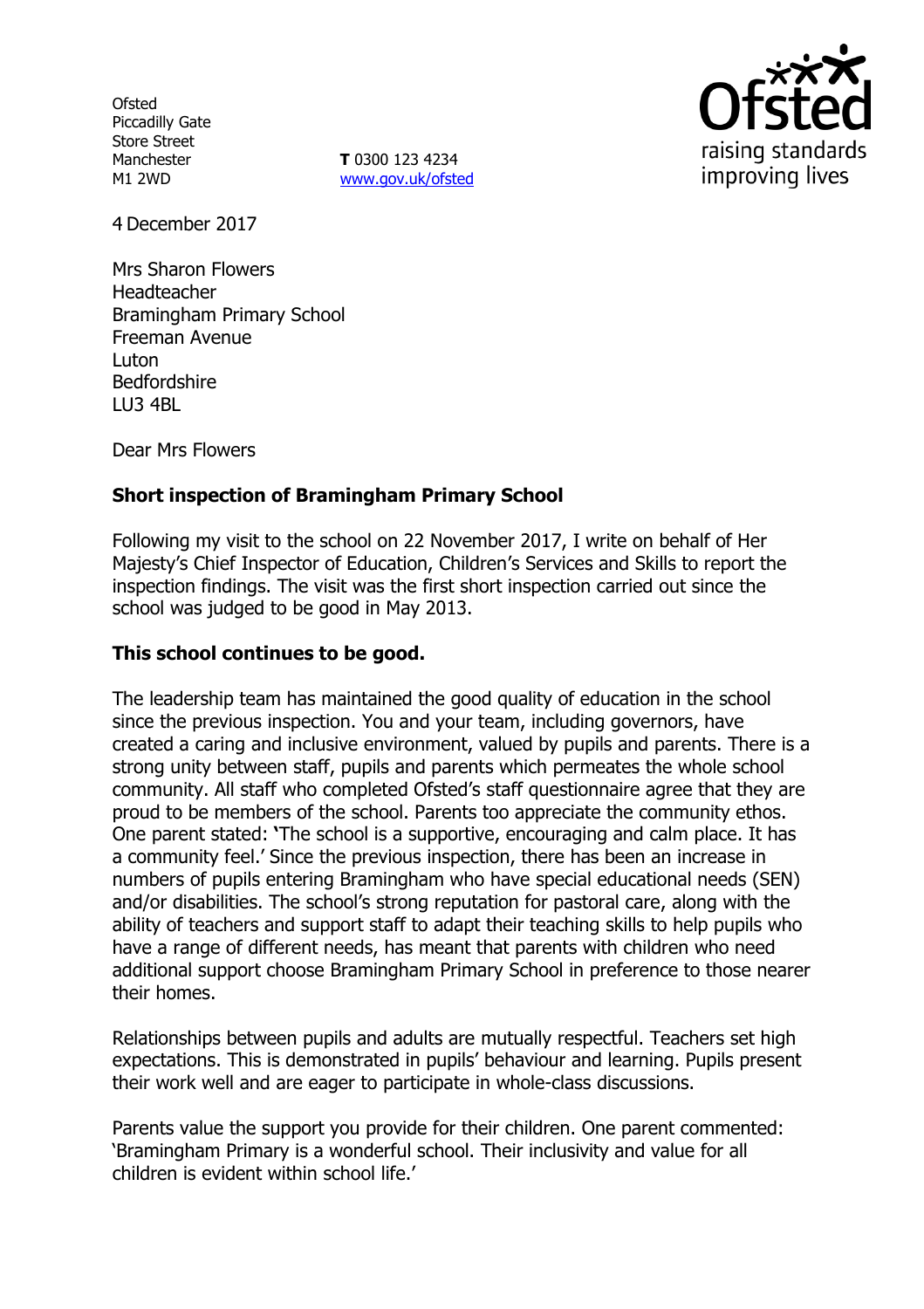**Ofsted** Piccadilly Gate Store Street Manchester M1 2WD

**T** 0300 123 4234 www.gov.uk/ofsted



4 December 2017

Mrs Sharon Flowers Headteacher Bramingham Primary School Freeman Avenue Luton Bedfordshire LU3 4BL

Dear Mrs Flowers

# **Short inspection of Bramingham Primary School**

Following my visit to the school on 22 November 2017, I write on behalf of Her Majesty's Chief Inspector of Education, Children's Services and Skills to report the inspection findings. The visit was the first short inspection carried out since the school was judged to be good in May 2013.

### **This school continues to be good.**

The leadership team has maintained the good quality of education in the school since the previous inspection. You and your team, including governors, have created a caring and inclusive environment, valued by pupils and parents. There is a strong unity between staff, pupils and parents which permeates the whole school community. All staff who completed Ofsted's staff questionnaire agree that they are proud to be members of the school. Parents too appreciate the community ethos. One parent stated: **'**The school is a supportive, encouraging and calm place. It has a community feel.' Since the previous inspection, there has been an increase in numbers of pupils entering Bramingham who have special educational needs (SEN) and/or disabilities. The school's strong reputation for pastoral care, along with the ability of teachers and support staff to adapt their teaching skills to help pupils who have a range of different needs, has meant that parents with children who need additional support choose Bramingham Primary School in preference to those nearer their homes.

Relationships between pupils and adults are mutually respectful. Teachers set high expectations. This is demonstrated in pupils' behaviour and learning. Pupils present their work well and are eager to participate in whole-class discussions.

Parents value the support you provide for their children. One parent commented: 'Bramingham Primary is a wonderful school. Their inclusivity and value for all children is evident within school life.'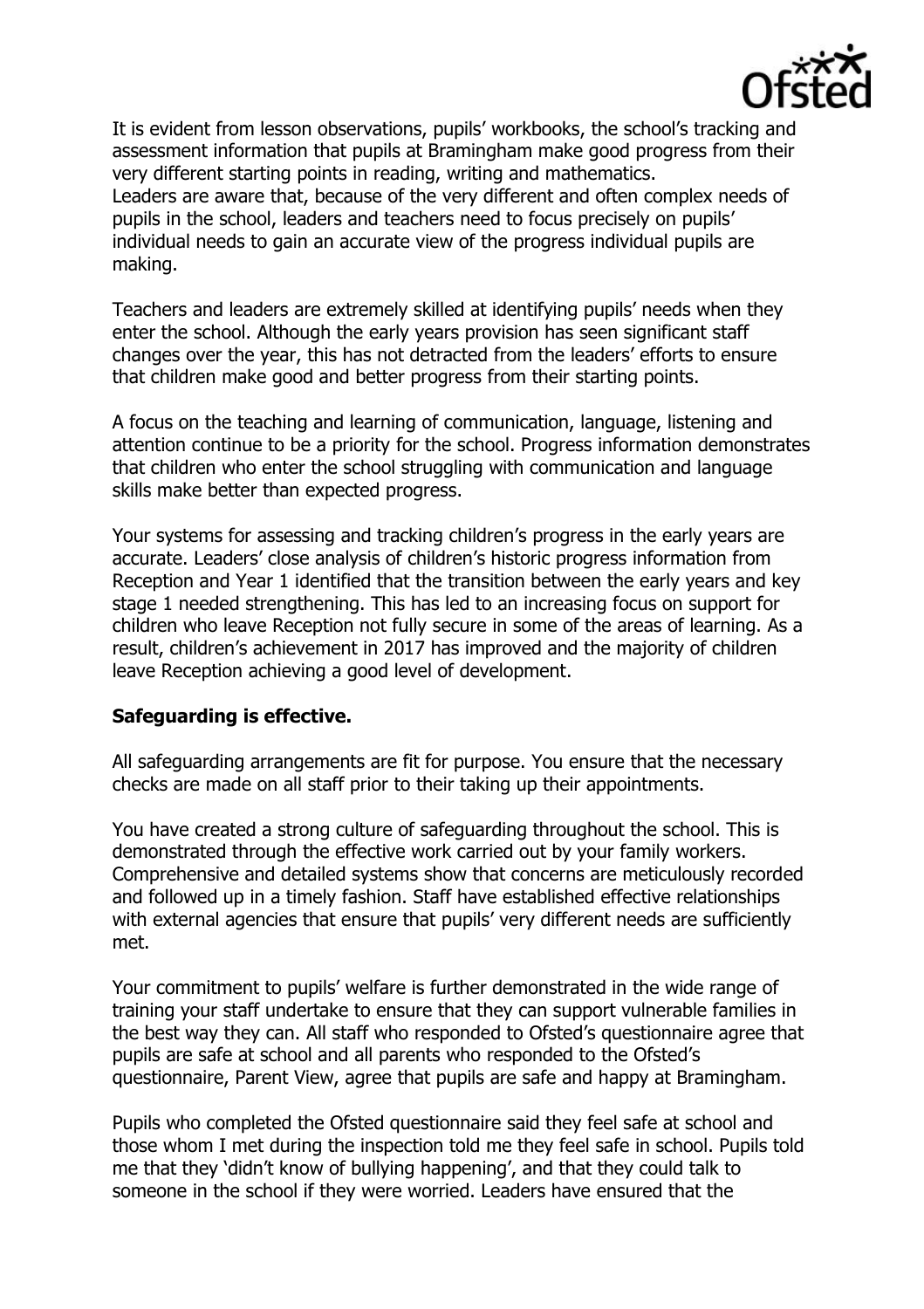

It is evident from lesson observations, pupils' workbooks, the school's tracking and assessment information that pupils at Bramingham make good progress from their very different starting points in reading, writing and mathematics. Leaders are aware that, because of the very different and often complex needs of pupils in the school, leaders and teachers need to focus precisely on pupils' individual needs to gain an accurate view of the progress individual pupils are making.

Teachers and leaders are extremely skilled at identifying pupils' needs when they enter the school. Although the early years provision has seen significant staff changes over the year, this has not detracted from the leaders' efforts to ensure that children make good and better progress from their starting points.

A focus on the teaching and learning of communication, language, listening and attention continue to be a priority for the school. Progress information demonstrates that children who enter the school struggling with communication and language skills make better than expected progress.

Your systems for assessing and tracking children's progress in the early years are accurate. Leaders' close analysis of children's historic progress information from Reception and Year 1 identified that the transition between the early years and key stage 1 needed strengthening. This has led to an increasing focus on support for children who leave Reception not fully secure in some of the areas of learning. As a result, children's achievement in 2017 has improved and the majority of children leave Reception achieving a good level of development.

### **Safeguarding is effective.**

All safeguarding arrangements are fit for purpose. You ensure that the necessary checks are made on all staff prior to their taking up their appointments.

You have created a strong culture of safeguarding throughout the school. This is demonstrated through the effective work carried out by your family workers. Comprehensive and detailed systems show that concerns are meticulously recorded and followed up in a timely fashion. Staff have established effective relationships with external agencies that ensure that pupils' very different needs are sufficiently met.

Your commitment to pupils' welfare is further demonstrated in the wide range of training your staff undertake to ensure that they can support vulnerable families in the best way they can. All staff who responded to Ofsted's questionnaire agree that pupils are safe at school and all parents who responded to the Ofsted's questionnaire, Parent View, agree that pupils are safe and happy at Bramingham.

Pupils who completed the Ofsted questionnaire said they feel safe at school and those whom I met during the inspection told me they feel safe in school. Pupils told me that they 'didn't know of bullying happening', and that they could talk to someone in the school if they were worried. Leaders have ensured that the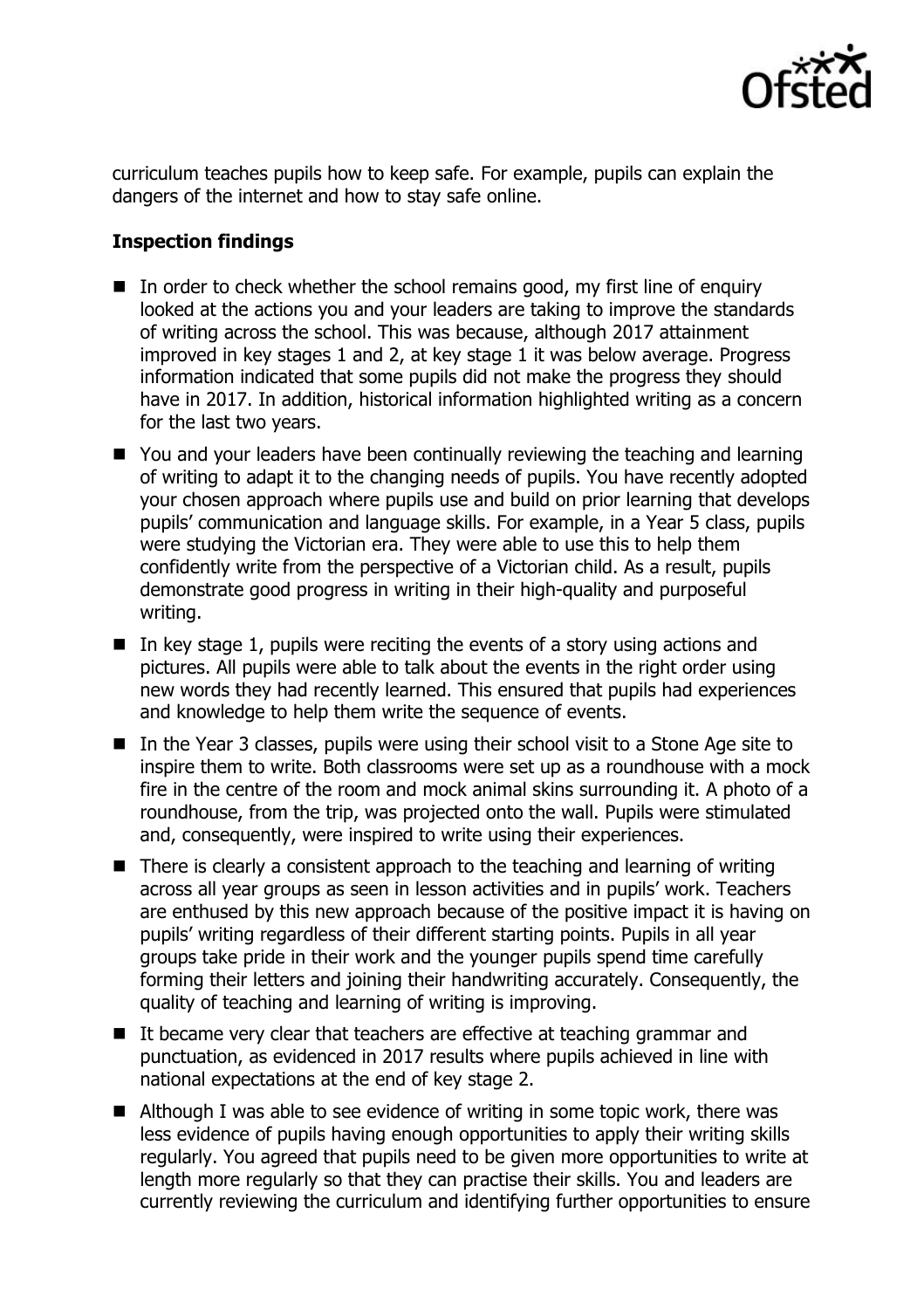

curriculum teaches pupils how to keep safe. For example, pupils can explain the dangers of the internet and how to stay safe online.

# **Inspection findings**

- In order to check whether the school remains good, my first line of enquiry looked at the actions you and your leaders are taking to improve the standards of writing across the school. This was because, although 2017 attainment improved in key stages 1 and 2, at key stage 1 it was below average. Progress information indicated that some pupils did not make the progress they should have in 2017. In addition, historical information highlighted writing as a concern for the last two years.
- You and your leaders have been continually reviewing the teaching and learning of writing to adapt it to the changing needs of pupils. You have recently adopted your chosen approach where pupils use and build on prior learning that develops pupils' communication and language skills. For example, in a Year 5 class, pupils were studying the Victorian era. They were able to use this to help them confidently write from the perspective of a Victorian child. As a result, pupils demonstrate good progress in writing in their high-quality and purposeful writing.
- In key stage 1, pupils were reciting the events of a story using actions and pictures. All pupils were able to talk about the events in the right order using new words they had recently learned. This ensured that pupils had experiences and knowledge to help them write the sequence of events.
- $\blacksquare$  In the Year 3 classes, pupils were using their school visit to a Stone Age site to inspire them to write. Both classrooms were set up as a roundhouse with a mock fire in the centre of the room and mock animal skins surrounding it. A photo of a roundhouse, from the trip, was projected onto the wall. Pupils were stimulated and, consequently, were inspired to write using their experiences.
- There is clearly a consistent approach to the teaching and learning of writing across all year groups as seen in lesson activities and in pupils' work. Teachers are enthused by this new approach because of the positive impact it is having on pupils' writing regardless of their different starting points. Pupils in all year groups take pride in their work and the younger pupils spend time carefully forming their letters and joining their handwriting accurately. Consequently, the quality of teaching and learning of writing is improving.
- $\blacksquare$  It became very clear that teachers are effective at teaching grammar and punctuation, as evidenced in 2017 results where pupils achieved in line with national expectations at the end of key stage 2.
- Although I was able to see evidence of writing in some topic work, there was less evidence of pupils having enough opportunities to apply their writing skills regularly. You agreed that pupils need to be given more opportunities to write at length more regularly so that they can practise their skills. You and leaders are currently reviewing the curriculum and identifying further opportunities to ensure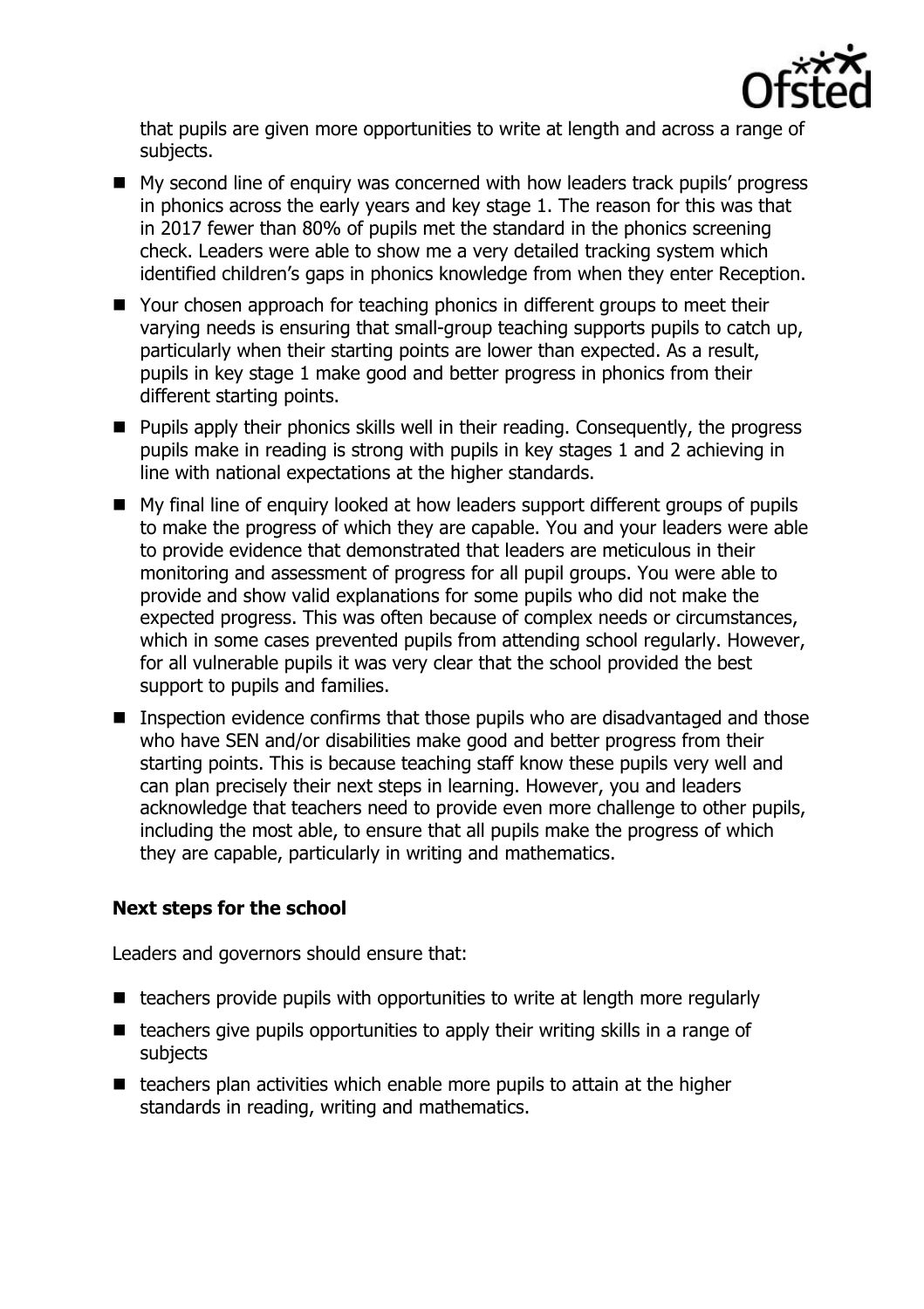

that pupils are given more opportunities to write at length and across a range of subjects.

- My second line of enquiry was concerned with how leaders track pupils' progress in phonics across the early years and key stage 1. The reason for this was that in 2017 fewer than 80% of pupils met the standard in the phonics screening check. Leaders were able to show me a very detailed tracking system which identified children's gaps in phonics knowledge from when they enter Reception.
- Your chosen approach for teaching phonics in different groups to meet their varying needs is ensuring that small-group teaching supports pupils to catch up, particularly when their starting points are lower than expected. As a result, pupils in key stage 1 make good and better progress in phonics from their different starting points.
- **Pupils apply their phonics skills well in their reading. Consequently, the progress** pupils make in reading is strong with pupils in key stages 1 and 2 achieving in line with national expectations at the higher standards.
- My final line of enquiry looked at how leaders support different groups of pupils to make the progress of which they are capable. You and your leaders were able to provide evidence that demonstrated that leaders are meticulous in their monitoring and assessment of progress for all pupil groups. You were able to provide and show valid explanations for some pupils who did not make the expected progress. This was often because of complex needs or circumstances, which in some cases prevented pupils from attending school regularly. However, for all vulnerable pupils it was very clear that the school provided the best support to pupils and families.
- **Inspection evidence confirms that those pupils who are disadvantaged and those** who have SEN and/or disabilities make good and better progress from their starting points. This is because teaching staff know these pupils very well and can plan precisely their next steps in learning. However, you and leaders acknowledge that teachers need to provide even more challenge to other pupils, including the most able, to ensure that all pupils make the progress of which they are capable, particularly in writing and mathematics.

# **Next steps for the school**

Leaders and governors should ensure that:

- $\blacksquare$  teachers provide pupils with opportunities to write at length more regularly
- teachers give pupils opportunities to apply their writing skills in a range of subjects
- $\blacksquare$  teachers plan activities which enable more pupils to attain at the higher standards in reading, writing and mathematics.